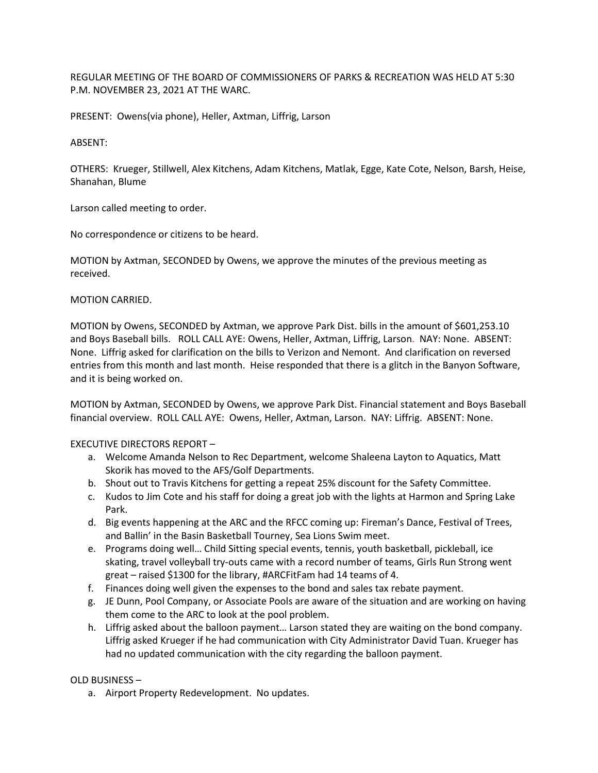REGULAR MEETING OF THE BOARD OF COMMISSIONERS OF PARKS & RECREATION WAS HELD AT 5:30 P.M. NOVEMBER 23, 2021 AT THE WARC.

PRESENT: Owens(via phone), Heller, Axtman, Liffrig, Larson

### ABSENT:

OTHERS: Krueger, Stillwell, Alex Kitchens, Adam Kitchens, Matlak, Egge, Kate Cote, Nelson, Barsh, Heise, Shanahan, Blume

Larson called meeting to order.

No correspondence or citizens to be heard.

MOTION by Axtman, SECONDED by Owens, we approve the minutes of the previous meeting as received.

MOTION CARRIED.

MOTION by Owens, SECONDED by Axtman, we approve Park Dist. bills in the amount of \$601,253.10 and Boys Baseball bills. ROLL CALL AYE: Owens, Heller, Axtman, Liffrig, Larson. NAY: None. ABSENT: None. Liffrig asked for clarification on the bills to Verizon and Nemont. And clarification on reversed entries from this month and last month. Heise responded that there is a glitch in the Banyon Software, and it is being worked on.

MOTION by Axtman, SECONDED by Owens, we approve Park Dist. Financial statement and Boys Baseball financial overview. ROLL CALL AYE: Owens, Heller, Axtman, Larson. NAY: Liffrig. ABSENT: None.

EXECUTIVE DIRECTORS REPORT –

- a. Welcome Amanda Nelson to Rec Department, welcome Shaleena Layton to Aquatics, Matt Skorik has moved to the AFS/Golf Departments.
- b. Shout out to Travis Kitchens for getting a repeat 25% discount for the Safety Committee.
- c. Kudos to Jim Cote and his staff for doing a great job with the lights at Harmon and Spring Lake Park.
- d. Big events happening at the ARC and the RFCC coming up: Fireman's Dance, Festival of Trees, and Ballin' in the Basin Basketball Tourney, Sea Lions Swim meet.
- e. Programs doing well… Child Sitting special events, tennis, youth basketball, pickleball, ice skating, travel volleyball try-outs came with a record number of teams, Girls Run Strong went great – raised \$1300 for the library, #ARCFitFam had 14 teams of 4.
- f. Finances doing well given the expenses to the bond and sales tax rebate payment.
- g. JE Dunn, Pool Company, or Associate Pools are aware of the situation and are working on having them come to the ARC to look at the pool problem.
- h. Liffrig asked about the balloon payment… Larson stated they are waiting on the bond company. Liffrig asked Krueger if he had communication with City Administrator David Tuan. Krueger has had no updated communication with the city regarding the balloon payment.

OLD BUSINESS –

a. Airport Property Redevelopment. No updates.